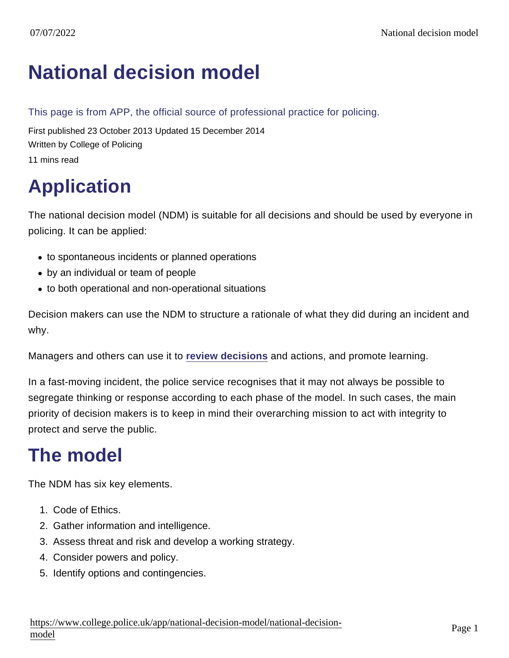# [National decision model](https://www.college.police.uk/app/national-decision-model/national-decision-model)

#### This page is from APP, the official source of professional practice for policing.

First published 23 October 2013 Updated 15 December 2014 Written by College of Policing 11 mins read

# Application

The national decision model (NDM) is suitable for all decisions and should be used by everyone in policing. It can be applied:

- to spontaneous incidents or planned operations
- by an individual or team of people
- to both operational and non-operational situations

Decision makers can use the NDM to structure a rationale of what they did during an incident and why.

Managers and others can use it to [review decisions](https://www.app.college.police.uk/app-content/national-decision-model/the-national-decision-model/#reviewing-decision-making) and actions, and promote learning.

In a fast-moving incident, the police service recognises that it may not always be possible to segregate thinking or response according to each phase of the model. In such cases, the main priority of decision makers is to keep in mind their overarching mission to act with integrity to protect and serve the public.

## The model

The NDM has six key elements.

- 1. Code of Ethics.
- 2. Gather information and intelligence.
- 3. Assess threat and risk and develop a working strategy.
- 4. Consider powers and policy.
- 5. Identify options and contingencies.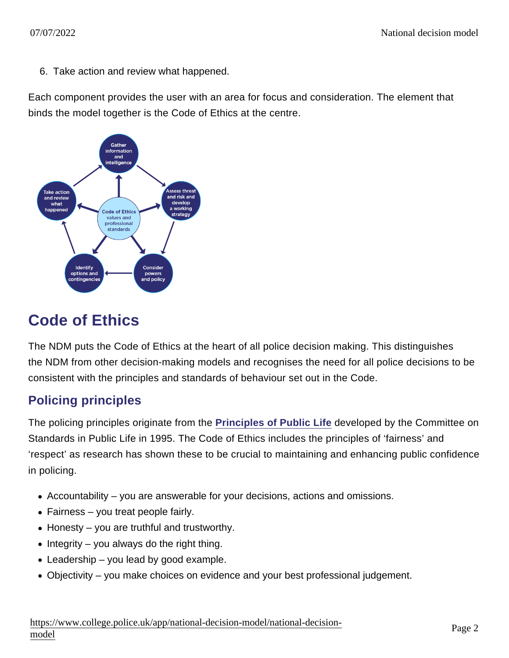6. Take action and review what happened.

Each component provides the user with an area for focus and consideration. The element that binds the model together is the Code of Ethics at the centre.

### Code of Ethics

The NDM puts the Code of Ethics at the heart of all police decision making. This distinguishes the NDM from other decision-making models and recognises the need for all police decisions to be consistent with the principles and standards of behaviour set out in the Code.

### Policing principles

The policing principles originate from the [Principles of Public Life](https://www.gov.uk/government/publications/the-7-principles-of-public-life) developed by the Committee on Standards in Public Life in 1995. The Code of Ethics includes the principles of 'fairness' and 'respect' as research has shown these to be crucial to maintaining and enhancing public confidence in policing.

- Accountability you are answerable for your decisions, actions and omissions.
- Fairness you treat people fairly.
- Honesty you are truthful and trustworthy.
- $\bullet$  Integrity you always do the right thing.
- Leadership you lead by good example.
- Objectivity you make choices on evidence and your best professional judgement.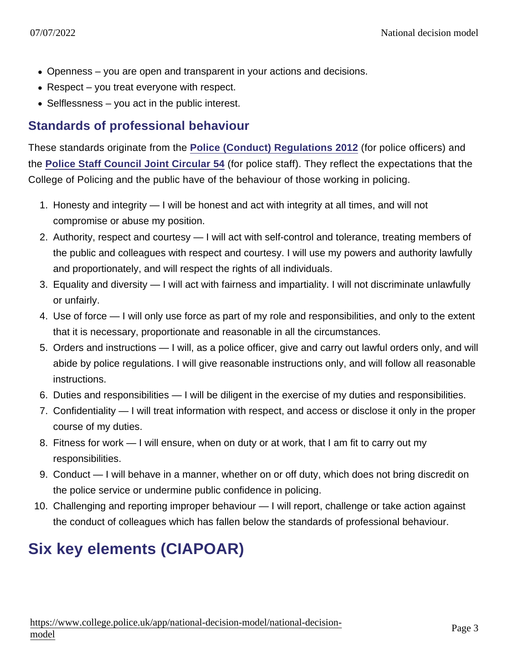- Openness you are open and transparent in your actions and decisions.
- Respect you treat everyone with respect.
- Selflessness you act in the public interest.

#### Standards of professional behaviour

These standards originate from the [Police \(Conduct\) Regulations 2012](http://www.legislation.gov.uk/uksi/2012/2632/schedule/2/made) (for police officers) and the [Police Staff Council Joint Circular 54](http://www.local.gov.uk/web/workforcelibrary/police-staff-council-circulars) (for police staff). They reflect the expectations that the College of Policing and the public have of the behaviour of those working in policing.

- 1. Honesty and integrity I will be honest and act with integrity at all times, and will not compromise or abuse my position.
- 2. Authority, respect and courtesy I will act with self-control and tolerance, treating members of the public and colleagues with respect and courtesy. I will use my powers and authority lawfully and proportionately, and will respect the rights of all individuals.
- 3. Equality and diversity I will act with fairness and impartiality. I will not discriminate unlawfully or unfairly.
- 4. Use of force I will only use force as part of my role and responsibilities, and only to the extent that it is necessary, proportionate and reasonable in all the circumstances.
- 5. Orders and instructions I will, as a police officer, give and carry out lawful orders only, and will abide by police regulations. I will give reasonable instructions only, and will follow all reasonable instructions.
- 6. Duties and responsibilities I will be diligent in the exercise of my duties and responsibilities.
- 7. Confidentiality I will treat information with respect, and access or disclose it only in the proper course of my duties.
- 8. Fitness for work I will ensure, when on duty or at work, that I am fit to carry out my responsibilities.
- 9. Conduct I will behave in a manner, whether on or off duty, which does not bring discredit on the police service or undermine public confidence in policing.
- 10. Challenging and reporting improper behaviour I will report, challenge or take action against the conduct of colleagues which has fallen below the standards of professional behaviour.

### Six key elements (CIAPOAR)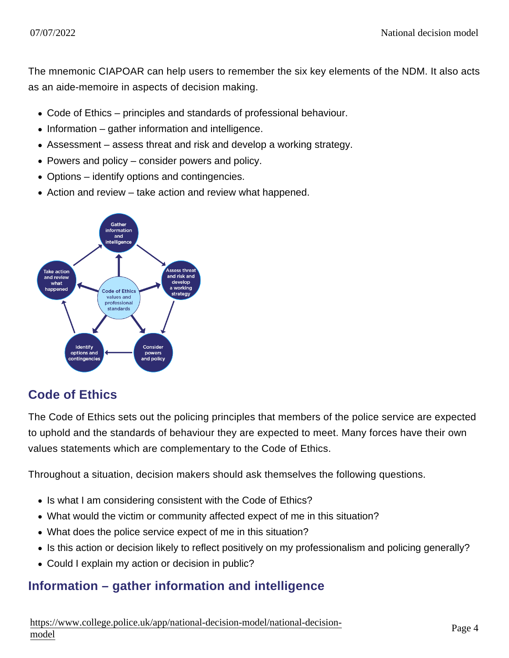The mnemonic CIAPOAR can help users to remember the six key elements of the NDM. It also acts as an aide-memoire in aspects of decision making.

- Code of Ethics principles and standards of professional behaviour.
- $\bullet$  Information gather information and intelligence.
- Assessment assess threat and risk and develop a working strategy.
- Powers and policy consider powers and policy.
- Options identify options and contingencies.
- Action and review take action and review what happened.

### Code of Ethics

The Code of Ethics sets out the policing principles that members of the police service are expected to uphold and the standards of behaviour they are expected to meet. Many forces have their own values statements which are complementary to the Code of Ethics.

Throughout a situation, decision makers should ask themselves the following questions.

- Is what I am considering consistent with the Code of Ethics?
- What would the victim or community affected expect of me in this situation?
- What does the police service expect of me in this situation?
- Is this action or decision likely to reflect positively on my professionalism and policing generally?
- Could I explain my action or decision in public?

#### Information – gather information and intelligence

[https://www.college.police.uk/app/national-decision-model/national-dec](https://www.college.police.uk/app/national-decision-model/national-decision-model)ision-<br>[mode](https://www.college.police.uk/app/national-decision-model/national-decision-model)l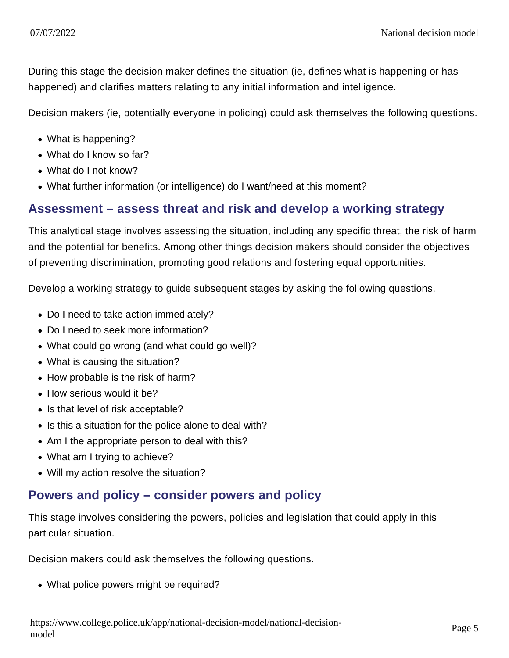During this stage the decision maker defines the situation (ie, defines what is happening or has happened) and clarifies matters relating to any initial information and intelligence.

Decision makers (ie, potentially everyone in policing) could ask themselves the following questions.

- What is happening?
- What do I know so far?
- What do I not know?
- What further information (or intelligence) do I want/need at this moment?

#### Assessment – assess threat and risk and develop a working strategy

This analytical stage involves assessing the situation, including any specific threat, the risk of harm and the potential for benefits. Among other things decision makers should consider the objectives of preventing discrimination, promoting good relations and fostering equal opportunities.

Develop a working strategy to guide subsequent stages by asking the following questions.

- Do I need to take action immediately?
- Do I need to seek more information?
- What could go wrong (and what could go well)?
- What is causing the situation?
- How probable is the risk of harm?
- How serious would it be?
- Is that level of risk acceptable?
- Is this a situation for the police alone to deal with?
- Am I the appropriate person to deal with this?
- What am I trying to achieve?
- Will my action resolve the situation?

### Powers and policy – consider powers and policy

This stage involves considering the powers, policies and legislation that could apply in this particular situation.

Decision makers could ask themselves the following questions.

What police powers might be required?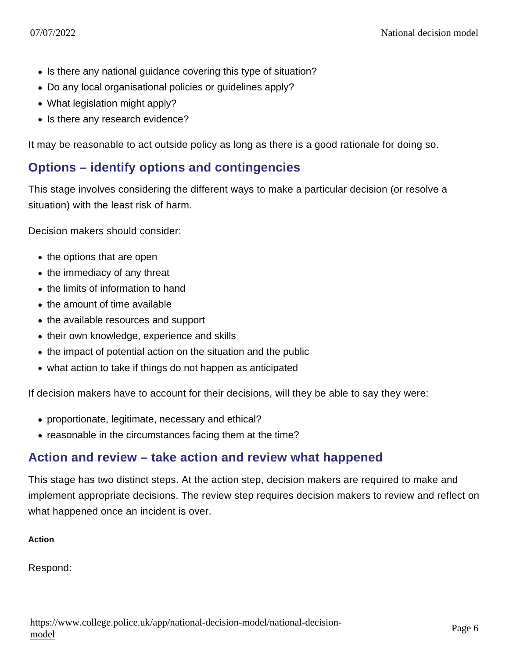- Is there any national guidance covering this type of situation?
- Do any local organisational policies or guidelines apply?
- What legislation might apply?
- Is there any research evidence?

It may be reasonable to act outside policy as long as there is a good rationale for doing so.

#### Options – identify options and contingencies

This stage involves considering the different ways to make a particular decision (or resolve a situation) with the least risk of harm.

Decision makers should consider:

- the options that are open
- the immediacy of any threat
- the limits of information to hand
- $\bullet$  the amount of time available
- the available resources and support
- their own knowledge, experience and skills
- the impact of potential action on the situation and the public
- what action to take if things do not happen as anticipated

If decision makers have to account for their decisions, will they be able to say they were:

- proportionate, legitimate, necessary and ethical?
- reasonable in the circumstances facing them at the time?

#### Action and review – take action and review what happened

This stage has two distinct steps. At the action step, decision makers are required to make and implement appropriate decisions. The review step requires decision makers to review and reflect on what happened once an incident is over.

Action

Respond: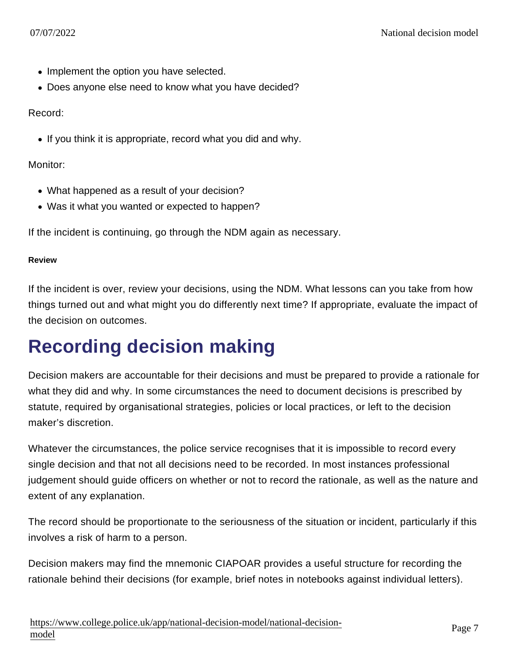- Implement the option you have selected.
- Does anyone else need to know what you have decided?

Record:

If you think it is appropriate, record what you did and why.

Monitor:

- What happened as a result of your decision?
- Was it what you wanted or expected to happen?

If the incident is continuing, go through the NDM again as necessary.

Review

If the incident is over, review your decisions, using the NDM. What lessons can you take from how things turned out and what might you do differently next time? If appropriate, evaluate the impact of the decision on outcomes.

# Recording decision making

Decision makers are accountable for their decisions and must be prepared to provide a rationale for what they did and why. In some circumstances the need to document decisions is prescribed by statute, required by organisational strategies, policies or local practices, or left to the decision maker's discretion.

Whatever the circumstances, the police service recognises that it is impossible to record every single decision and that not all decisions need to be recorded. In most instances professional judgement should guide officers on whether or not to record the rationale, as well as the nature and extent of any explanation.

The record should be proportionate to the seriousness of the situation or incident, particularly if this involves a risk of harm to a person.

Decision makers may find the mnemonic CIAPOAR provides a useful structure for recording the rationale behind their decisions (for example, brief notes in notebooks against individual letters).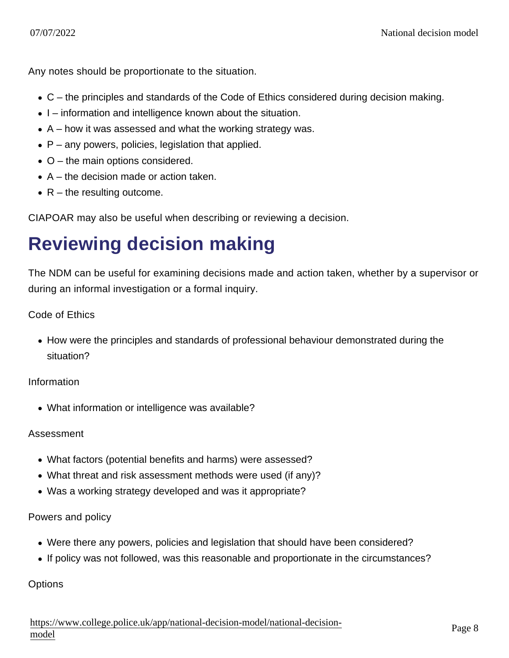Any notes should be proportionate to the situation.

- C the principles and standards of the Code of Ethics considered during decision making.
- I information and intelligence known about the situation.
- $\bullet$  A how it was assessed and what the working strategy was.
- $\bullet$  P any powers, policies, legislation that applied.
- O the main options considered.
- $\bullet$  A the decision made or action taken.
- $\bullet$  R the resulting outcome.

CIAPOAR may also be useful when describing or reviewing a decision.

# Reviewing decision making

The NDM can be useful for examining decisions made and action taken, whether by a supervisor or during an informal investigation or a formal inquiry.

#### Code of Ethics

• How were the principles and standards of professional behaviour demonstrated during the situation?

Information

What information or intelligence was available?

#### Assessment

- What factors (potential benefits and harms) were assessed?
- What threat and risk assessment methods were used (if any)?
- Was a working strategy developed and was it appropriate?

#### Powers and policy

- Were there any powers, policies and legislation that should have been considered?
- If policy was not followed, was this reasonable and proportionate in the circumstances?

**Options**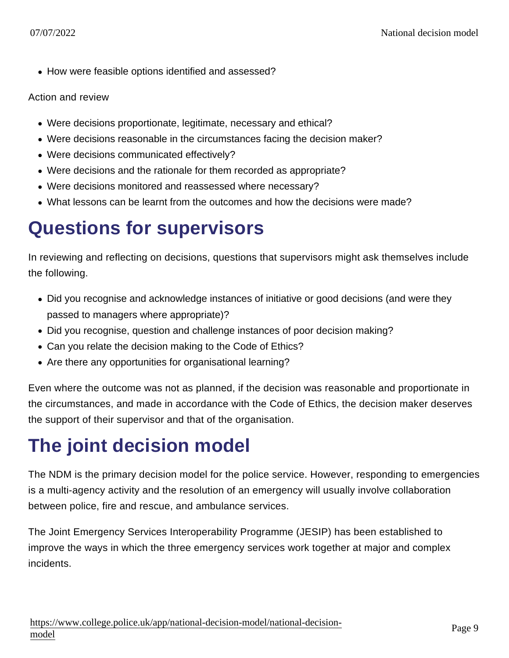• How were feasible options identified and assessed?

#### Action and review

- Were decisions proportionate, legitimate, necessary and ethical?
- Were decisions reasonable in the circumstances facing the decision maker?
- Were decisions communicated effectively?
- Were decisions and the rationale for them recorded as appropriate?
- Were decisions monitored and reassessed where necessary?
- What lessons can be learnt from the outcomes and how the decisions were made?

### Questions for supervisors

In reviewing and reflecting on decisions, questions that supervisors might ask themselves include the following.

- Did you recognise and acknowledge instances of initiative or good decisions (and were they passed to managers where appropriate)?
- Did you recognise, question and challenge instances of poor decision making?
- Can you relate the decision making to the Code of Ethics?
- Are there any opportunities for organisational learning?

Even where the outcome was not as planned, if the decision was reasonable and proportionate in the circumstances, and made in accordance with the Code of Ethics, the decision maker deserves the support of their supervisor and that of the organisation.

### The joint decision model

The NDM is the primary decision model for the police service. However, responding to emergencies is a multi-agency activity and the resolution of an emergency will usually involve collaboration between police, fire and rescue, and ambulance services.

The Joint Emergency Services Interoperability Programme (JESIP) has been established to improve the ways in which the three emergency services work together at major and complex incidents.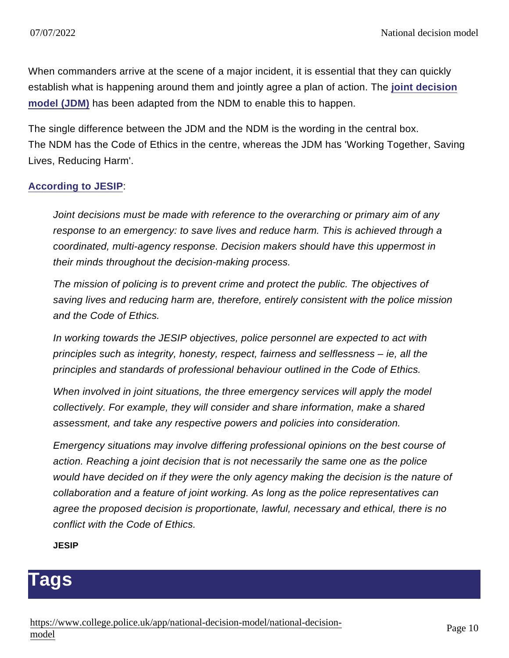When commanders arrive at the scene of a major incident, it is essential that they can quickly establish what is happening around them and jointly agree a plan of action. The [joint decision](http://www.jesip.org.uk/joint-decision-model/) [model \(JDM\)](http://www.jesip.org.uk/joint-decision-model/) has been adapted from the NDM to enable this to happen.

The single difference between the JDM and the NDM is the wording in the central box. The NDM has the Code of Ethics in the centre, whereas the JDM has 'Working Together, Saving Lives, Reducing Harm'.

#### [According to JESIP](http://www.jesip.org.uk/wp-content/uploads/2013/07/JESIP-Joint-Doctrine.pdf) :

Joint decisions must be made with reference to the overarching or primary aim of any response to an emergency: to save lives and reduce harm. This is achieved through a coordinated, multi-agency response. Decision makers should have this uppermost in their minds throughout the decision-making process.

The mission of policing is to prevent crime and protect the public. The objectives of saving lives and reducing harm are, therefore, entirely consistent with the police mission and the Code of Ethics.

In working towards the JESIP objectives, police personnel are expected to act with principles such as integrity, honesty, respect, fairness and selflessness – ie, all the principles and standards of professional behaviour outlined in the Code of Ethics.

When involved in joint situations, the three emergency services will apply the model collectively. For example, they will consider and share information, make a shared assessment, and take any respective powers and policies into consideration.

Emergency situations may involve differing professional opinions on the best course of action. Reaching a joint decision that is not necessarily the same one as the police would have decided on if they were the only agency making the decision is the nature of collaboration and a feature of joint working. As long as the police representatives can agree the proposed decision is proportionate, lawful, necessary and ethical, there is no conflict with the Code of Ethics.

**JESIP** 

### **Tags**